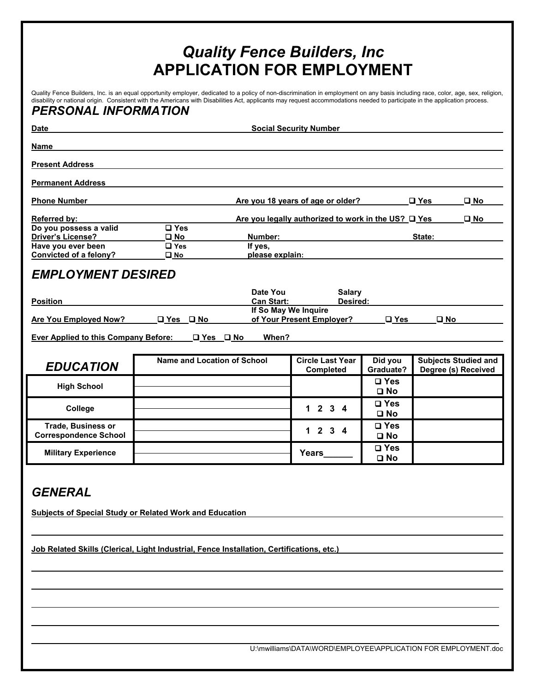# *Quality Fence Builders, Inc*  **APPLICATION FOR EMPLOYMENT**

Quality Fence Builders, Inc. is an equal opportunity employer, dedicated to a policy of non-discrimination in employment on any basis including race, color, age, sex, religion, disability or national origin. Consistent with the Americans with Disabilities Act, applicants may request accommodations needed to participate in the application process.

### *PERSONAL INFORMATION*

| <b>Date</b>                                                                  | <b>Social Security Number</b> |                      |                                                     |                               |                     |                             |
|------------------------------------------------------------------------------|-------------------------------|----------------------|-----------------------------------------------------|-------------------------------|---------------------|-----------------------------|
| <b>Name</b>                                                                  |                               |                      |                                                     |                               |                     |                             |
| <b>Present Address</b>                                                       |                               |                      |                                                     |                               |                     |                             |
| <b>Permanent Address</b>                                                     |                               |                      |                                                     |                               |                     |                             |
| <b>Phone Number</b>                                                          |                               |                      | Are you 18 years of age or older?                   |                               | $\square$ Yes       | $\square$ No                |
| <b>Referred by:</b>                                                          |                               |                      | Are you legally authorized to work in the US? O Yes |                               |                     | $\square$ No                |
| Do you possess a valid<br><b>Driver's License?</b>                           | □ Yes<br>$\square$ No         | Number:              |                                                     |                               | State:              |                             |
| Have you ever been                                                           | $\Box$ Yes                    | If yes,              |                                                     |                               |                     |                             |
| Convicted of a felony?                                                       | $\square$ No                  | please explain:      |                                                     |                               |                     |                             |
| <b>EMPLOYMENT DESIRED</b>                                                    |                               |                      |                                                     |                               |                     |                             |
|                                                                              |                               | Date You             | <b>Salary</b>                                       |                               |                     |                             |
| <b>Position</b>                                                              |                               | <b>Can Start:</b>    | Desired:                                            |                               |                     |                             |
| Are You Employed Now?                                                        | □ Yes □ No                    | If So May We Inquire | of Your Present Employer?                           | $\square$ Yes                 | $\square$ No        |                             |
| <b>Ever Applied to this Company Before:</b><br>When?<br>$\Box$ Yes $\Box$ No |                               |                      |                                                     |                               |                     |                             |
|                                                                              |                               |                      |                                                     |                               |                     |                             |
| <b>EDUCATION</b>                                                             | Name and Location of School   |                      | <b>Circle Last Year</b><br>Completed                | Did you<br>Graduate?          | Degree (s) Received | <b>Subjects Studied and</b> |
| <b>High School</b>                                                           |                               |                      |                                                     | $\square$ Yes<br>$\square$ No |                     |                             |
| College                                                                      |                               |                      | $2 \t3 \t4$<br>$\mathbf{1}$                         | $\square$ Yes<br>$\square$ No |                     |                             |
| <b>Trade, Business or</b><br><b>Correspondence School</b>                    |                               |                      | $\mathbf{3}$<br>$2^{\circ}$<br>1.<br>$\mathbf 4$    | $\square$ Yes<br>$\square$ No |                     |                             |
| <b>Military Experience</b>                                                   |                               |                      | Years                                               | $\square$ Yes<br>$\square$ No |                     |                             |

## *GENERAL*

**Subjects of Special Study or Related Work and Education** 

**Job Related Skills (Clerical, Light Industrial, Fence Installation, Certifications, etc.)** 

U:\mwilliams\DATA\WORD\EMPLOYEE\APPLICATION FOR EMPLOYMENT.doc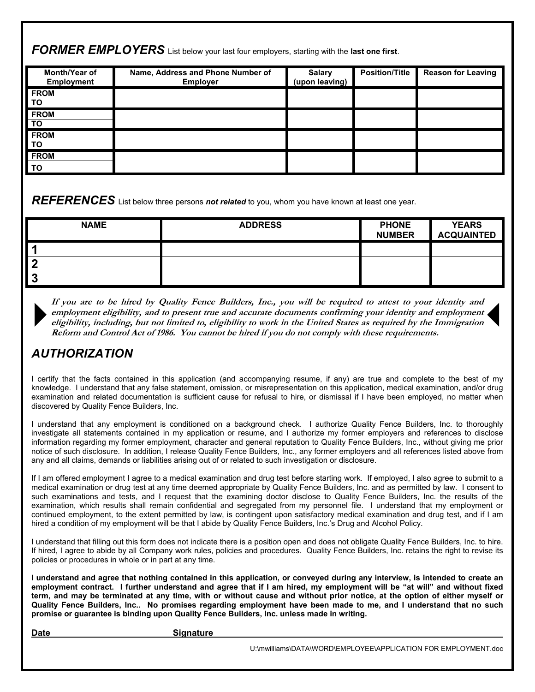*FORMER EMPLOYERS* List below your last four employers, starting with the **last one first**.

| Month/Year of<br>Employment | Name, Address and Phone Number of<br><b>Employer</b> | <b>Salary</b><br>(upon leaving) | <b>Position/Title</b> | <b>Reason for Leaving</b> |
|-----------------------------|------------------------------------------------------|---------------------------------|-----------------------|---------------------------|
| <b>FROM</b><br><b>TO</b>    |                                                      |                                 |                       |                           |
| <b>FROM</b><br>l TO         |                                                      |                                 |                       |                           |
| <b>FROM</b><br><b>TO</b>    |                                                      |                                 |                       |                           |
| <b>FROM</b><br>Ι το         |                                                      |                                 |                       |                           |

*REFERENCES* List below three persons *not related* to you, whom you have known at least one year.

| <b>NAME</b> | <b>ADDRESS</b> | <b>PHONE</b><br><b>NUMBER</b> | <b>YEARS</b><br><b>ACQUAINTED</b> |
|-------------|----------------|-------------------------------|-----------------------------------|
|             |                |                               |                                   |
| -           |                |                               |                                   |
|             |                |                               |                                   |

**If you are to be hired by Quality Fence Builders, Inc., you will be required to attest to your identity and employment eligibility, and to present true and accurate documents confirming your identity and employment eligibility, including, but not limited to, eligibility to work in the United States as required by the Immigration Reform and Control Act of 1986. You cannot be hired if you do not comply with these requirements.** 

# *AUTHORIZATION*

I certify that the facts contained in this application (and accompanying resume, if any) are true and complete to the best of my knowledge. I understand that any false statement, omission, or misrepresentation on this application, medical examination, and/or drug examination and related documentation is sufficient cause for refusal to hire, or dismissal if I have been employed, no matter when discovered by Quality Fence Builders, Inc.

I understand that any employment is conditioned on a background check. I authorize Quality Fence Builders, Inc. to thoroughly investigate all statements contained in my application or resume, and I authorize my former employers and references to disclose information regarding my former employment, character and general reputation to Quality Fence Builders, Inc., without giving me prior notice of such disclosure. In addition, I release Quality Fence Builders, Inc., any former employers and all references listed above from any and all claims, demands or liabilities arising out of or related to such investigation or disclosure.

If I am offered employment I agree to a medical examination and drug test before starting work. If employed, I also agree to submit to a medical examination or drug test at any time deemed appropriate by Quality Fence Builders, Inc. and as permitted by law. I consent to such examinations and tests, and I request that the examining doctor disclose to Quality Fence Builders, Inc. the results of the examination, which results shall remain confidential and segregated from my personnel file. I understand that my employment or continued employment, to the extent permitted by law, is contingent upon satisfactory medical examination and drug test, and if I am hired a condition of my employment will be that I abide by Quality Fence Builders, Inc.'s Drug and Alcohol Policy.

I understand that filling out this form does not indicate there is a position open and does not obligate Quality Fence Builders, Inc. to hire. If hired, I agree to abide by all Company work rules, policies and procedures. Quality Fence Builders, Inc. retains the right to revise its policies or procedures in whole or in part at any time.

**I understand and agree that nothing contained in this application, or conveyed during any interview, is intended to create an employment contract. I further understand and agree that if I am hired, my employment will be "at will" and without fixed term, and may be terminated at any time, with or without cause and without prior notice, at the option of either myself or Quality Fence Builders, Inc.. No promises regarding employment have been made to me, and I understand that no such promise or guarantee is binding upon Quality Fence Builders, Inc. unless made in writing.** 

Date **Signature** Signature

U:\mwilliams\DATA\WORD\EMPLOYEE\APPLICATION FOR EMPLOYMENT.doc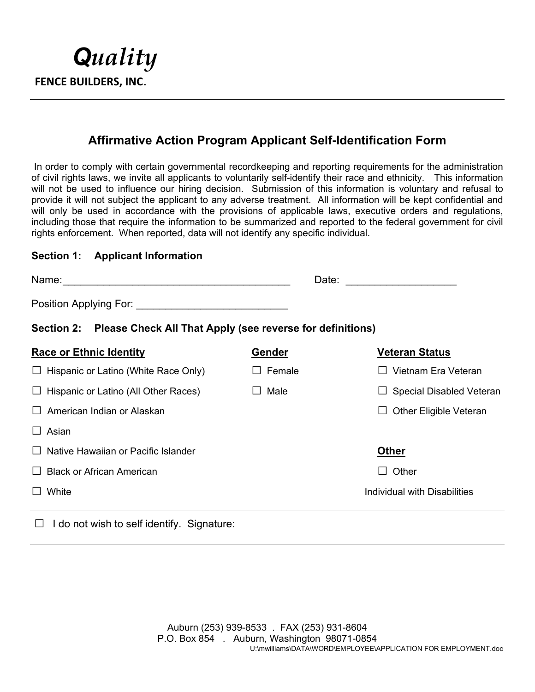

## **Affirmative Action Program Applicant Self-Identification Form**

 In order to comply with certain governmental recordkeeping and reporting requirements for the administration of civil rights laws, we invite all applicants to voluntarily self-identify their race and ethnicity. This information will not be used to influence our hiring decision. Submission of this information is voluntary and refusal to provide it will not subject the applicant to any adverse treatment. All information will be kept confidential and will only be used in accordance with the provisions of applicable laws, executive orders and regulations, including those that require the information to be summarized and reported to the federal government for civil rights enforcement. When reported, data will not identify any specific individual.

#### **Section 1: Applicant Information**

| Name:<br><u> 1980 - Johann Stoff, deutscher Stoff, der Stoff, der Stoff, der Stoff, der Stoff, der Stoff, der Stoff, der S</u>                                                                                                 | Date:           |                                    |  |  |  |  |
|--------------------------------------------------------------------------------------------------------------------------------------------------------------------------------------------------------------------------------|-----------------|------------------------------------|--|--|--|--|
| Position Applying For: The Contract of the Contract of the Contract of the Contract of the Contract of the Contract of the Contract of the Contract of the Contract of the Contract of the Contract of the Contract of the Con |                 |                                    |  |  |  |  |
| Section 2: Please Check All That Apply (see reverse for definitions)                                                                                                                                                           |                 |                                    |  |  |  |  |
| <b>Race or Ethnic Identity</b>                                                                                                                                                                                                 | Gender          | Veteran Status                     |  |  |  |  |
| $\Box$ Hispanic or Latino (White Race Only)                                                                                                                                                                                    | Female          | Vietnam Era Veteran                |  |  |  |  |
| $\Box$ Hispanic or Latino (All Other Races)                                                                                                                                                                                    | Male<br>$\perp$ | <b>Special Disabled Veteran</b>    |  |  |  |  |
| American Indian or Alaskan<br>$\mathbf{L}$                                                                                                                                                                                     |                 | <b>Other Eligible Veteran</b><br>ப |  |  |  |  |
| $\Box$ Asian                                                                                                                                                                                                                   |                 |                                    |  |  |  |  |
| $\Box$ Native Hawaiian or Pacific Islander                                                                                                                                                                                     |                 | <b>Other</b>                       |  |  |  |  |
| <b>Black or African American</b><br>$\perp$                                                                                                                                                                                    |                 | Other                              |  |  |  |  |
| White                                                                                                                                                                                                                          |                 | Individual with Disabilities       |  |  |  |  |

#### **□** I do not wish to self identify. Signature: